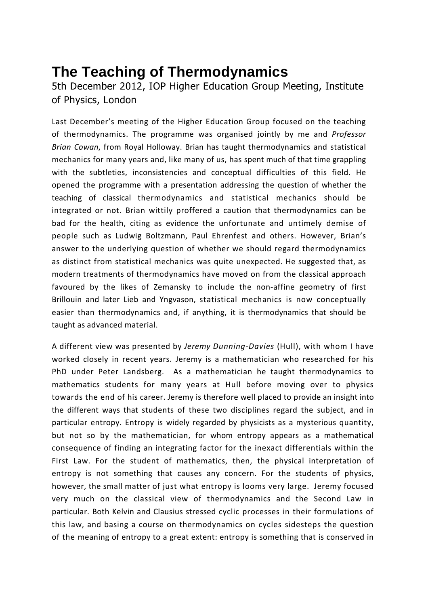## **The Teaching of Thermodynamics**

5th December 2012, IOP Higher Education Group Meeting, Institute of Physics, London

Last December's meeting of the Higher Education Group focused on the teaching of thermodynamics. The programme was organised jointly by me and *Professor Brian Cowan*, from Royal Holloway. Brian has taught thermodynamics and statistical mechanics for many years and, like many of us, has spent much of that time grappling with the subtleties, inconsistencies and conceptual difficulties of this field. He opened the programme with a presentation addressing the question of whether the teaching of classical thermodynamics and statistical mechanics should be integrated or not. Brian wittily proffered a caution that thermodynamics can be bad for the health, citing as evidence the unfortunate and untimely demise of people such as Ludwig Boltzmann, Paul Ehrenfest and others. However, Brian's answer to the underlying question of whether we should regard thermodynamics as distinct from statistical mechanics was quite unexpected. He suggested that, as modern treatments of thermodynamics have moved on from the classical approach favoured by the likes of Zemansky to include the non-affine geometry of first Brillouin and later Lieb and Yngvason, statistical mechanics is now conceptually easier than thermodynamics and, if anything, it is thermodynamics that should be taught as advanced material.

A different view was presented by *Jeremy Dunning-Davies* (Hull), with whom I have worked closely in recent years. Jeremy is a mathematician who researched for his PhD under Peter Landsberg. As a mathematician he taught thermodynamics to mathematics students for many years at Hull before moving over to physics towards the end of his career. Jeremy is therefore well placed to provide an insight into the different ways that students of these two disciplines regard the subject, and in particular entropy. Entropy is widely regarded by physicists as a mysterious quantity, but not so by the mathematician, for whom entropy appears as a mathematical consequence of finding an integrating factor for the inexact differentials within the First Law. For the student of mathematics, then, the physical interpretation of entropy is not something that causes any concern. For the students of physics, however, the small matter of just what entropy is looms very large. Jeremy focused very much on the classical view of thermodynamics and the Second Law in particular. Both Kelvin and Clausius stressed cyclic processes in their formulations of this law, and basing a course on thermodynamics on cycles sidesteps the question of the meaning of entropy to a great extent: entropy is something that is conserved in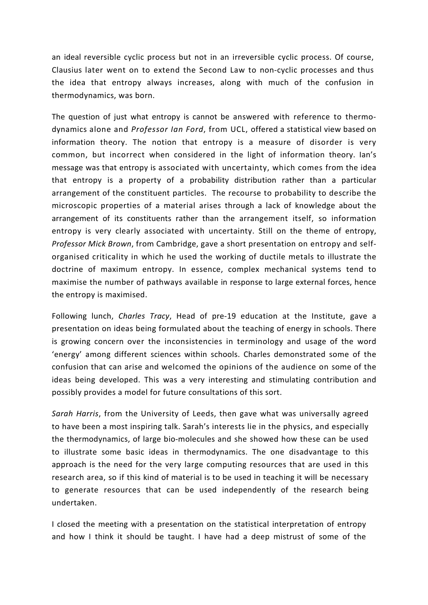an ideal reversible cyclic process but not in an irreversible cyclic process. Of course, Clausius later went on to extend the Second Law to non-cyclic processes and thus the idea that entropy always increases, along with much of the confusion in thermodynamics, was born.

The question of just what entropy is cannot be answered with reference to thermodynamics alone and *Professor Ian Ford*, from UCL, offered a statistical view based on information theory. The notion that entropy is a measure of disorder is very common, but incorrect when considered in the light of information theory. Ian's message was that entropy is associated with uncertainty, which comes from the idea that entropy is a property of a probability distribution rather than a particular arrangement of the constituent particles. The recourse to probability to describe the microscopic properties of a material arises through a lack of knowledge about the arrangement of its constituents rather than the arrangement itself, so information entropy is very clearly associated with uncertainty. Still on the theme of entropy, *Professor Mick Brown*, from Cambridge, gave a short presentation on entropy and selforganised criticality in which he used the working of ductile metals to illustrate the doctrine of maximum entropy. In essence, complex mechanical systems tend to maximise the number of pathways available in response to large external forces, hence the entropy is maximised.

Following lunch, *Charles Tracy*, Head of pre-19 education at the Institute, gave a presentation on ideas being formulated about the teaching of energy in schools. There is growing concern over the inconsistencies in terminology and usage of the word 'energy' among different sciences within schools. Charles demonstrated some of the confusion that can arise and welcomed the opinions of the audience on some of the ideas being developed. This was a very interesting and stimulating contribution and possibly provides a model for future consultations of this sort.

*Sarah Harris*, from the University of Leeds, then gave what was universally agreed to have been a most inspiring talk. Sarah's interests lie in the physics, and especially the thermodynamics, of large bio-molecules and she showed how these can be used to illustrate some basic ideas in thermodynamics. The one disadvantage to this approach is the need for the very large computing resources that are used in this research area, so if this kind of material is to be used in teaching it will be necessary to generate resources that can be used independently of the research being undertaken.

I closed the meeting with a presentation on the statistical interpretation of entropy and how I think it should be taught. I have had a deep mistrust of some of the